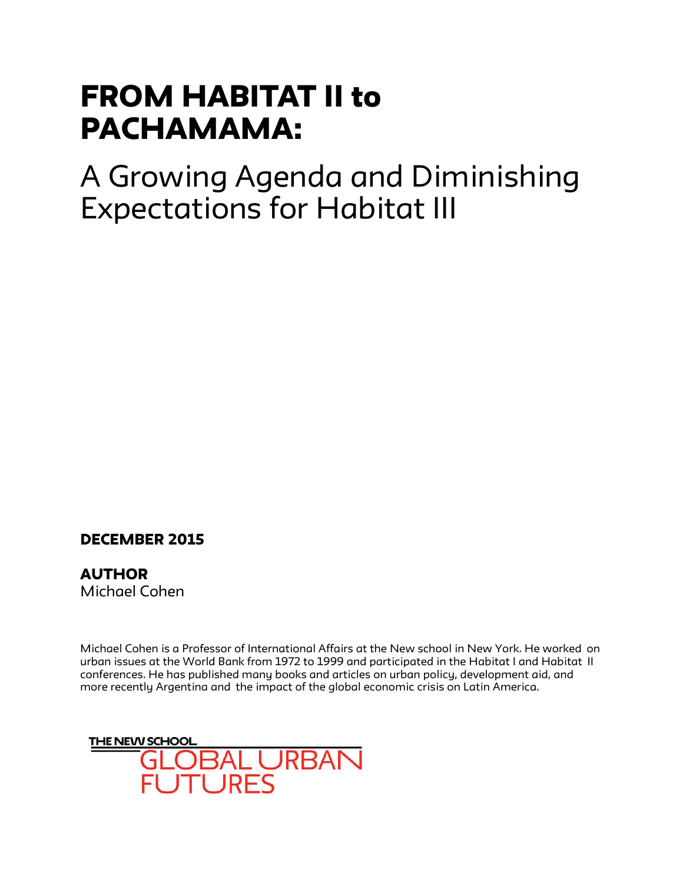## FROM HABITAT II to PACHAMAMA:

A Growing Agenda and Diminishing Expectations for Habitat III

## DECEMBER 2015

**AUTHOR** Michael Cohen

Michael Cohen is a Professor of International Affairs at the New school in New York. He worked on urban issues at the World Bank from 1972 to 1999 and participated in the Habitat I and Habitat II conferences. He has published many books and articles on urban policy, development aid, and more recently Argentina and the impact of the global economic crisis on Latin America.